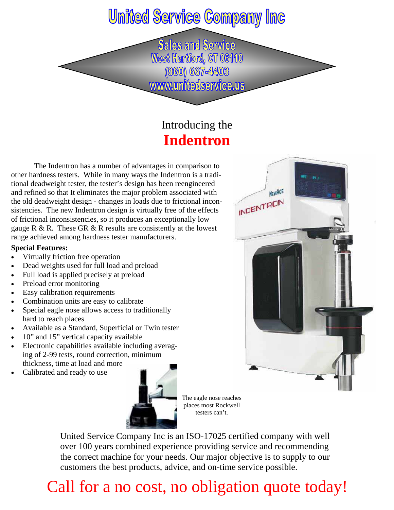## **United Service Company Inc**

**Sales and Service** West Hartford, CT 06110 (860) 667-4403 www.unitedservice.us

### Introducing the **Indentron**

The Indentron has a number of advantages in comparison to other hardness testers. While in many ways the Indentron is a traditional deadweight tester, the tester's design has been reengineered and refined so that It eliminates the major problem associated with the old deadweight design - changes in loads due to frictional inconsistencies. The new Indentron design is virtually free of the effects of frictional inconsistencies, so it produces an exceptionally low gauge  $R \& R$ . These GR  $\& R$  results are consistently at the lowest range achieved among hardness tester manufacturers.

#### **Special Features:**

- Virtually friction free operation
- Dead weights used for full load and preload
- Full load is applied precisely at preload
- Preload error monitoring
- Easy calibration requirements
- Combination units are easy to calibrate
- Special eagle nose allows access to traditionally hard to reach places
- Available as a Standard, Superficial or Twin tester
- 10" and 15" vertical capacity available
- Electronic capabilities available including averaging of 2-99 tests, round correction, minimum thickness, time at load and more
- Calibrated and ready to use



The eagle nose reaches places most Rockwell testers can't.

United Service Company Inc is an ISO-17025 certified company with well over 100 years combined experience providing service and recommending the correct machine for your needs. Our major objective is to supply to our customers the best products, advice, and on-time service possible.

## Call for a no cost, no obligation quote today!